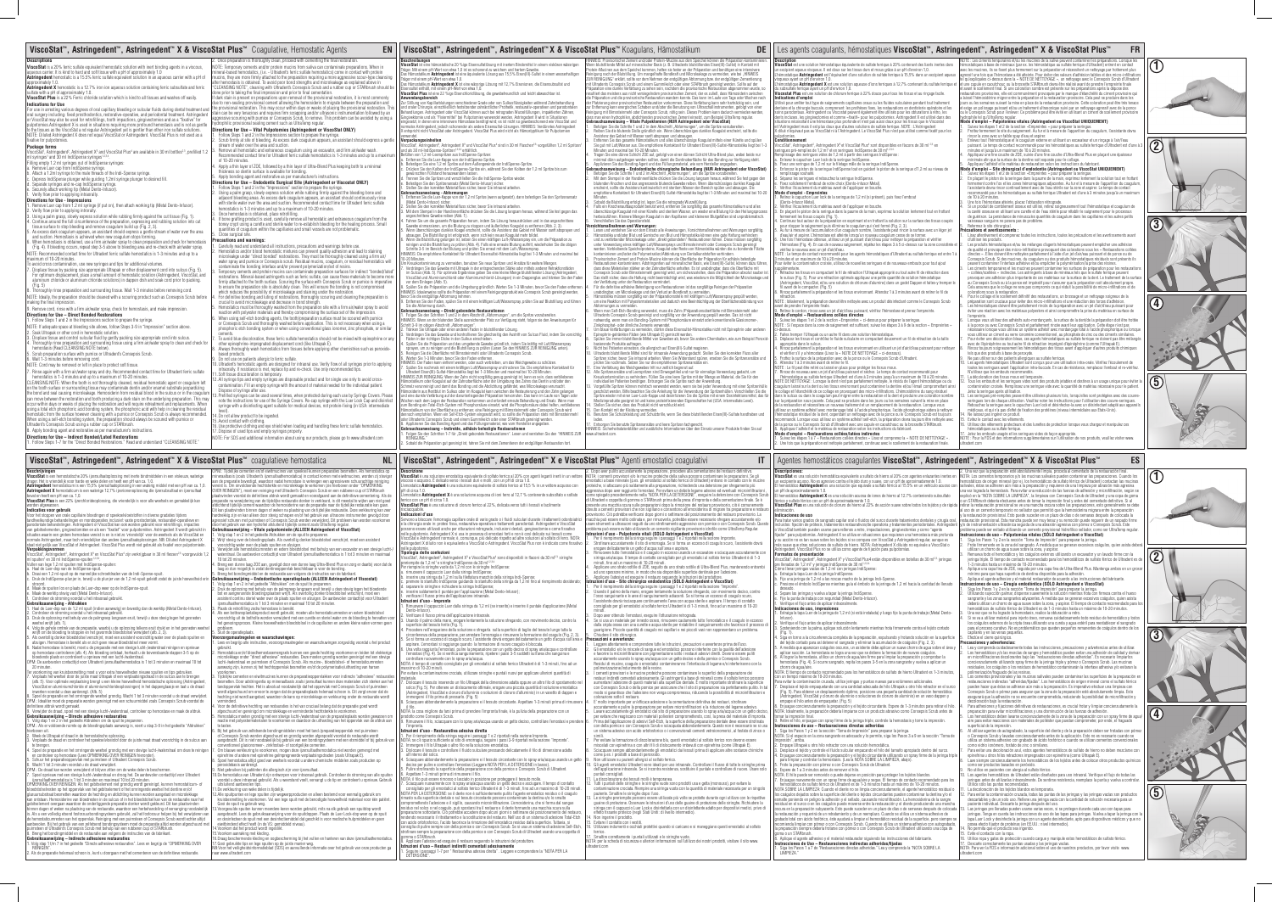## Les agents coagulants, hémostatiques **ViscoStat™, Astringedent™, Astringedent™ X & ViscoStat Plus™**

## **Description**<br>**ViscoStat** est une solution hémostatique équivalente de sulfate ferrique à 20% contenant des liants inertes dans<br>un excipient aqueux visqueux. Il est doux sur les tissus durs et mous grâce à un pH d'environ

Agentes hemostáticos coagulantes **ViscoStat™, Astringedent™, Astringedent™ X & ViscoStat Plus™**

**FR**

**ES**

te brengen. tie en het omringende weefsel grondig met een stevige lucht-/waterstraal om deze te reinige<br>hemostase (Lees OPMERKING OVER REINIGEN hieronder).

e nontroleer op hemostase (Lees OPMERNING OVER RENIGEN Inieronder).<br>5. Schuur het preparatieopopervlak met puimsteen of Ultradent Consepsis Scrub.<br>6. Wacht 1 tot 3 minuten voordat u de draad verwijdert.<br>6. Wacht 1 tot 3 mi

8. Breng het bondingmiddel en de restauratie aan volgens de instructies van de fabrikant.<br>**Gebruiksaanwijzing – Indirecte adhesieve restauraties**<br>1. Volg stap 1 t/m 7 in het gedeelte "Directe adhesieve restauraties". Lees

aangebracht. Dit is niet noodzakelijk bij gebruik van een loondingsysteem met een etsmiddel of bij gebruik van<br>conventioneel glasionomeer-, zinklosfaat- of soortgelijke cementen.<br>7. Om blauwe verkleuring te voorkomen, moge

<sub>noor goommen, op panemen van usmangsaar zijn ontworpen voor intraoraal gebruik. Controleer de stroming van alle<br>De hemostatica van Ultradent zijn ontworpen voor intraoraal gebruik. Controleer de stroming van alle :<br>oordat</sub>

voordat u deze intraoraal gebruikt. Als u weerstand voelt, vervangt u de tip en controleert u opnieuw. Gebruik<br>11. De verkleuring van weke delen is tijdelijk.<br>12. Pal verkleuring van weke delen is tijdelijk.<br>12. Pal verkle

16.Draag beschermende kleding en oogbescherming bij het vullen en hanteren van deze ijzersulfaathemostatica.<br>17.Gooi gebruikte tips en lege spuiten op de juiste manier weg.<br>NB:Voor het veiligheidsinformatieblad (SDS) en aa

iltrapak o altro filo nella soluzione emostatica.<br>o e controllare il fluido sulculare pressando delicatamente il filo di dimensione adatta

2. Immegre el filo Ultrapako a altro lla na locuito en ensentatica.<br>2. Immegre el filo Ultrapako a altro dio el filo el soluciulare pressando delicatamente il filo di dimensione adatta<br>4. Sciacquare absonce altre controlla esimo de l'ARbrush.<br>8. Applicare l'adesivo ed eseguire il restauro seguendo le istruzioni del produttore.<br>1. Applicare l'adesivo ed eseguire il restauro seguendo le istruzioni del produttore.

**Istruzioni d'uso – Restauri indiretti cementati adesivamente**<br>1. Seguire i passaggi 1-7 per " Restaurativa adesiva diretta" . Leggere e comprendere la "NOTA PER LA DETERSIONE".

visqueux ayant un pH d'environ 1,0. L'hémostatique **Astringedent X** est une solution aqueuse d'ions ferriques à 12,7% contenant du sulfate ferrique et du subsulfate ferrique ayant un pH d'environ 1,0. **Viscostat Plus** est une solution de chlorure ferrique à 22% douce pour tous les tissus et au rinçage facile.

**Indications d'emploi**<br>Chilis**é** pour arrêter fout type de saignements capillaires oraux ou les fluides sulculaires pendant tout traitement<br>dentaire et la chirurgie buccale, comprenant: les prothèses fixes, les restauratio

**Conditionnement**<br>Considerant Astringedent<sup>9</sup>, Astringedent X° et ViscoSiat Plus<sup>4</sup> sont disponibles en flacons de 30 ml<sup>23,</sup> en<br>seringuas pré-remplies de 1,2 ml<sup>1</sup> et en seringues IndiSpense de 30 ml<sup>12,34</sup><br>Remplissage de

# remplissage souhaité.<br>d. Séparez les serinques et rebouchez la serinque IndiSpense.<br>e. Fixez solidement l'embout de votre choix (Dento-infusor Metal).<br>f. Vérifiez l'écoulement du matériau avant de l'appliquer en bouche.<br>**M**

2. Vérifiez l'écoulement du matériau avant de l'appliquer en bouche. 3. En plaçant le piston de la seringue dans la paume de la main, exprimez la solution lentement tout en frottant

fermenent les tissus coupés (Fig. 1).<br>4. Continuez tout autour de la préparation en exprimant et en frottant la solution sur la surface des tissus coupés<br>pour stopper le saignement puis éliminez le coaguium qui s'est formé

- 3 minutes et un maximum de 10 à 20 minutes. Pour éviter la contamination croisée, utilisez de nouvelles seringues et de nouveaux embouts pour tout ajout
- 
- supplémentaire.<br>7. Rétractez les tissus en compactant le fil de rétraction l'Ultrapak approprié ou tout autre fil de rétraction dans<br>1. le sulcus (Fig. 5). Pour une rétraction optimale appliquez une petite quantité de solu
- rétraction. NOTE : Idéalement, la préparation devrait être nettoyée avec un produit désinfectant comme le Consepsis Scrub

avant de prendre l'empreinte finale.<br>9. Retirez le cordon, rincez avec un jet d'air/d'eau puissant, vérifiez l'hémostase et prenez l'empreinte.<br>**11. Suivez les élapes 1 et 2 de la s**ection «Empreintes » ci-dessus pour prép

- 
- ssus.<br>ilies tremper l'Ultrapak ou un autre fil dans une solution hémostatique.<br>éplacez les tissus et contrôlez le fluide sulculaire en compactant doucement un fil de rétraction de la taille
- 
- 

2. Faites tremper l'Ultrapak ou un autre fii dian sue solution hémostatique.<br>2. Gaines tremper l'Ultrapak ou un autre fii dian sue solution hémostatique.<br>4. Rivinge paralisement un fii de rétraction de la taille<br>4. Rivinge

| ViscoStat™, Astringedent™, Astringedent™ X & ViscoStat Plus™ Coagulative, Hemostatic Agents                                                                                                                                                                                                                                                               | EN                                                                                                                                                                                                                                                                                                                                                       | ViscoStat <sup>™</sup> , Astringedent <sup>™</sup> , Astringedent <sup>™</sup> X & ViscoStat Plus <sup>™</sup> Koagulans, Hämostatikum                                                                                                                                                                                                                       | <b>DE</b>                                                                                                                                                                                                                                                                                                                                                                                                                                                         |
|-----------------------------------------------------------------------------------------------------------------------------------------------------------------------------------------------------------------------------------------------------------------------------------------------------------------------------------------------------------|----------------------------------------------------------------------------------------------------------------------------------------------------------------------------------------------------------------------------------------------------------------------------------------------------------------------------------------------------------|--------------------------------------------------------------------------------------------------------------------------------------------------------------------------------------------------------------------------------------------------------------------------------------------------------------------------------------------------------------|-------------------------------------------------------------------------------------------------------------------------------------------------------------------------------------------------------------------------------------------------------------------------------------------------------------------------------------------------------------------------------------------------------------------------------------------------------------------|
| Descriptions<br>ViscoStat is a 20% ferric sulfate equivalent hemostatic solution with inert binding agents in a viscous,<br>aqueous carrier. It is kind to hard and soft tissue with a pH of approximately 1.0                                                                                                                                            | . Once preparation is thoroughly clean, proceed with cementing the final restoration.<br>NOTE: Temporary cements and/or protein mucins from saliva can contaminate preparations. When in<br>nineral-based hemostatics, (i.e. - Ultradent's ferric sulfate hemostatics) come in contact with protein                                                      | Beschreibungen<br>ViscoStat ist eine hämostatische 20 %ige Eisensulfatlösung mit inertem Bindemittel in einem viskösen wässrigen<br>Träger. Mit einem pH-Wert von etwa 1,0 ist es schonend zu weichem und hartem Gewebe.<br>Das Hämostatikum Astringedent ist eine äquivalente Lösung aus 15,5% Eisen(III)-Sulfat in einem wasserhaltigen                    | HINWEIS: Provisorischer Zement und/oder Protein-Mucine aus dem Speichel können die Präparation kontaminierer<br>Wenn blutstillende Mittel auf mineralischer Basis (z. B. Ultradents blutstillendes Eisen(III)-Sulfat) in Kontakt mit<br>Protein-Mucinen aus dem Speichel kommen, haften sie fester an der Präparation und benötigen eine intensivere<br>Reinigung nach der Blutstillung. Um mangelhafte Bondkraft und Microleakage zu vermeiden, wie bei "HINWEIS |
| <b>Astringedent</b> hemostatic is a 15.5% ferric sulfate equivalent solution in an aqueous carrier with a pH of<br>approximately 1.0.<br><b>Astringedent X</b> hemostatic is a 12.7% iron ion aqueous solution containing ferric subsulfate and ferric                                                                                                    | nucins, they are more firmly attached to the preparation requiring a more aggressive scour-type cleansing<br>ifter hemostasis is obtained. To avoid poor bond strengths and microleakage as explained above in<br>"CLEANSING NOTE", cleaning with Ultradent's Consepsis Scrub and a rubber cup or STARbrush should be                                    | Träger mit einem pH-Wert von etwa 1,0.<br>Das Hämostatikum Astringedent X ist eine wässrige Lösung mit 12,7% Eisenionen, die Eisensubsulfat und<br>Eisensulfat enthält, mit einem pH-Wert von etwa 1,0.                                                                                                                                                      | ZUR REINIGUNG" erklärt, sollte vor dem Nehmen der endgültigen Abformung bzw. der endgültigen Zementierung<br>mit Ultradents Consepsis Scrub und einem Gummikelch oder einer STARbrush gereinigt werden. Sollte auf der<br>Präparation eine dunkle Verfärbung zu sehen sein, nachdem die provisorische Restauration abgenommen wurde, so                                                                                                                           |
| sulfate with a pH of approximately 1.0.<br>ViscoStat Plus is a 22% Ferric chloride solution which is kind to all tissues and washes off easily.                                                                                                                                                                                                           | done prior to taking the final impression and prior to final cementation<br>f dark stain is present on preparations upon removal of the provisional restoration, it is most commonly                                                                                                                                                                     | ViscoStat Plus ist eine 22 %ige Eisenchloridlösung, die gewebefreundlich und leicht abwaschbar ist.<br>Anwendunasbereich                                                                                                                                                                                                                                     | resultiert das meistens aus nicht versiegelndem provisorischen Zement, der es zuließ, dass Hämosiderin zwischen<br>die Präparation und die provisorische Restauration wandern konnte. Das kann im Laufe von Tage oder Wochen nach                                                                                                                                                                                                                                 |
| Indications for Use<br>For use in arresting various degrees of oral capillary bleeding or sulcular fluids during dental treatment an                                                                                                                                                                                                                      | due to non-sealing provisional cement allowing the hemosiderin to migrate between the preparation and<br>the provisional restoration. This may occur within days or weeks of placing the provisional restoration. This<br>stain can be very tenacious and requires firm scrapping and/or ultrasonic instrumentation followed by an                       | Zur Stillung von Kapillarblutungen verschiedener Grade oder von Sulkusflüssigkeiten während Zahnbehandlung<br>und oraler Chirurgie, einschließlich festsitzender zahnärztlicher Prothetik, restaurativ-operativen und parodontalen<br>Behandlungen. Astringedent oder ViscoStat können auch bei retrograden Wurzelfüllungen, impaktierten Zähnen,            | der Platzierung einer provisorischen Restauration vorkommen. Diese Verfärbung kann sehr hartnäckig sein, und<br>zur Entfernung kann energisches Schaben und/oder die Benutzung von Ultraschallinstrumenten, gefolgt von einer<br>Reinigung mit Bimssteinmehl oder Consepsis Scrub, nötig sein. Dieses Problem kann dadurch vermieden werden,                                                                                                                      |
| oral surgery including: fixed prosthodontics, restorative-operative, and periodontal treatment. Astringedent<br>or ViscoStat may also be used for retrofillings, tooth impactions, gingivectomies and as a "fixative" for<br>pulpotomies.Astringedent X is used in situations requiring more profound hemostasis and is not as gentle                     | iggressive scouring with pumice or Consepsis Scrub, to remove. This problem can be avoided by using a<br>iydrophilic provisional sealing cement such as UltraTemp regular.                                                                                                                                                                               | Gingivektomie und als "Fixiermittel" bei Pulpotomien verwendet werden. Astringedent X wird in Situationen<br>eingesetzt, in denen eine intensivere Hämostase benötigt wird; es ist nicht so gewebeschonend wie ViscoStat und                                                                                                                                 | dass man einen hydrophilen, abdichtenden provisorischen Zement einsetzt, zum Beispiel UltraTemp regular.<br>Gebrauchsanweisung - Vitale Pulpektomien (NUR Astringedent oder ViscoStat)                                                                                                                                                                                                                                                                            |
| to the tissues as the ViscoStat a nd regular Astringedent yet is gentler than other iron sulfate solutions.<br>NOTE: Diluted Astringedent X does not equal ViscoStat or Astringedent. ViscoStat Plus is not used as a                                                                                                                                     | Directions for Use - Vital Pulpotomies (Astringedent or ViscoStat ONLY)<br>Follow Steps 1 and 2 in the Impressions section to prepare the syringe.                                                                                                                                                                                                       | normales Astringedent, jedoch schonender als andere Eisensulfat-Lösungen. HINWEIS: Verdünntes Astringedent<br>X entspricht nicht ViscoStat oder Astringedent. ViscoStat Plus wird nicht als Hämostyptikum für Pulpotomien<br>verwendet                                                                                                                       | Befolgen Sie die Schritte 1 und 2 in dem Abschnitt "Abformungen", um die Spritze vorzubereiten<br>Reiben Sie die blutende Stelle gründlich ein. Wenn überschüssiges dunkles Koagulat erscheint, sollte die<br>Assistenz das Gebiet mit Wasser sanft absprayen und absaugen.                                                                                                                                                                                       |
| fixative for pulpotomies.<br>Package forms<br>ViscoStat <sup>1</sup> , Astringedent <sup>2</sup> , Astringedent X <sup>3</sup> and ViscoStat Plus <sup>4</sup> are available in 30 ml bottles <sup>2,3</sup> , prefilled 1.2                                                                                                                              | Scrub firmly at site of bleeding. As excess dark coagulum appears, an assistant should express a gentle<br>stream of water over the area and suction.<br>Remove all hemostatic and extraneous coagulum using an excavator, and firm air/water wash.                                                                                                      | Verpackungseinheiten<br>ViscoStat <sup>1</sup> , Astringedent <sup>2</sup> , Astringedent X <sup>3</sup> und ViscoStat Plus <sup>4</sup> sind in 30 ml Flaschen <sup>2,3</sup> vorgefüllten 1,2 ml Spritzen <sup>1</sup><br>und als 30 ml-IndiSpense-Spritzen <sup>1,2,3,4</sup> erhältlich.                                                                 | Entfernen Sie das gesamte Hämostatikum und alles überschüssige Koagulat mittels einer Kürette und spülen<br>Sie gut mit Luft/Wasser aus. Die empfohlene Kontaktzeit für Ultradent Eisen(III)-Sulfat-Hämostatika liegt bei 1-3<br>Minuten und maximal bei 10-20 Minuten.                                                                                                                                                                                           |
| ml syringes <sup>1</sup> and 30 ml IndiSpense syringes <sup>1,2,3,4</sup> .<br>Filling empty 1.2 ml syringes out of IndiSpense syringes:                                                                                                                                                                                                                  | Recommended contact time for Ultradent ferric sulfate hemostatics is 1-3 minutes and up to a maximum<br>of 10-20 minutes                                                                                                                                                                                                                                 | Befüllen von 1,2 ml-Leerspritzen aus IndiSpense-Spritzen<br>. Entfernen Sie die Luer-Kappe von der IndiSpense-Spritze.                                                                                                                                                                                                                                       | Tragen Sie eine dünne Schicht ZOE auf, gefolgt von einer dünnen Schicht Ultra-Blend plus, wobei beide nur<br>minimal dünn aufgetragen werden sollten, damit die Dentinoberfläche für das Bonding zur Verfügung steht.                                                                                                                                                                                                                                             |
| a. Remove Luer cap from IndiSpense syringe.<br>b. Attach a 1.2ml syringe to the male threads of the Indi-Spense syringe                                                                                                                                                                                                                                   | Apply a thin layer of ZOE, followed by a thin layer of Ultra-Blend Plus keeping both to a minimal<br>thickness so dentin surface is available for bonding.                                                                                                                                                                                               | . Befestigen Sie eine 1,2 ml Spritze auf dem Außengewinde der IndiSpense-Spritze.<br>Drücken Sie den Kolben der IndiSpense-Spritze ein, während Sie den Kolben der 1,2 ml Spritze bis zum<br>gewünschten Füllstand herauswandern lassen.                                                                                                                     | Applizieren Sie das Bonding Agent und das Füllungsmaterial, wie vom Hersteller angegeben.<br>Gebrauchsanweisung – Endodontische chirurgische Behandlung (NUR Astringedent oder ViscoStat)<br>Befolgen Sie die Schritte 1 und 2 im Abschnitt "Abformungen", um die Spritze vorzubereiten                                                                                                                                                                           |
| c. Depress IndiSpense plunger while guiding 1.2ml syringe plunger to desired fill.<br>d. Separate syringes and re-cap IndiSpense syringe.                                                                                                                                                                                                                 | Apply bonding agent and restorative as per manufacturer's instructions.<br>Directions for Use – Endodontic Surgical Site (Astringedent or Viscostat ONLY)<br>Follow Steps 1 and 2 in the "Impressions" section to prepare the syringe                                                                                                                    | Trennen Sie die Spritzen und verschließen Sie die IndiSpense-Spritze wieder.<br>. Befestigen Sie den Spritzenansatz (Metal Dento-Infusor) sicher.<br>Stellen Sie den korrekten Materialfluss sicher, bevor Sie intraoral arbeiten.                                                                                                                           | Mit dem Stempel in der Handinnenfläche drücken Sie die Lösung langsam heraus, während Sie fest gegen den<br>blutenden Knochen und das angrenzende blutende Gewebe reiben. Wenn überschüssiges dunkles Koagulat<br>erscheint, sollte die Assistenz kontinuierlich mit sterilem Wasser den Bereich spülen und absaugen. Die                                                                                                                                         |
| e. Securely attach working tip (Metal Dento-Infusor).<br>f. Verify flow prior to applying intraorally.<br>Directions for Use - Impressions                                                                                                                                                                                                                | Using a palm grasp, slowly express solution while rubbing firmly against the bleeding bone and<br>adjacent bleeding areas. As excess dark coagulum appears, an assistant should continuously rinse                                                                                                                                                       | Gebrauchsanweisung - Abformungen<br>Entfernen Sie die Luer-Kappe von der 1,2 ml Spritze (wenn aufgesetzt), dann befestigen Sie den Spritzenansatz                                                                                                                                                                                                            | empfohlene Kontaktzeit für Ultradent Eisen(III)-Sulfat-Hämostatika liegt bei 1-3 Minuten und maximal bei 10-20<br>Minuten                                                                                                                                                                                                                                                                                                                                         |
| Remove Luer cap from 1.2 ml syringe (if put on), then attach working tip (Metal Dento-Infusor).<br>2. Verify flow prior to applying introrally.                                                                                                                                                                                                           | with sterile water over the area and suction. Recommended contact time for Ultradent ferric sulfate<br>hemostatics is 1-3 minutes and up to a maximum of 10-20 minutes.                                                                                                                                                                                  | (Metal Dento-Infusor) sicher.<br>Stellen Sie den korrekten Materialfluss sicher, bevor Sie intraoral arbeiten<br>Mit dem Stempel in der Handinnenfläche drücken Sie die Lösung langsam heraus, während Sie fest gegen das                                                                                                                                    | Sobald die Blutstillung erfolgt ist, legen Sie die retrograde Wurzelfüllung.<br>Falls ein Knochenaufbauprodukt benutzt wird, entfernen Sie sorgfältig das gesamte Hämostatikum und alles<br>überschüssige Koagulat mit einer Kürette und sterilem Wasser, um wieder eine Blutung für den Heilungsprozess                                                                                                                                                          |
| Using a palm grasp, slowly express solution while rubbing firmly against the cut tissue (Fig. 1).<br>4. Continue around the full circumference of the preparation, expressing and rubbing solution into cut                                                                                                                                               | Once hemostasis is obtained, place retrofilling.<br>If bone grafting product is used, carefully remove all hemostatic and extraneous coagulum from the<br>boney crypt using a curette and sterile water to re-establish bleeding for the healing process. Small                                                                                          | angeschnittene Gewebe reiben (Abb. 1).<br>Fahren Sie um die gesamte Präparation herum, indem Sie Lösung herausdrücken und in das angeschnittene<br>Gewebe einmassieren, um die Blutung zu stoppen und äußerliches Koagulat zu entfernen (Abb. 2, 3).                                                                                                         | herbeizuführen. Kleinere Mengen Koagulat in den Kapillaren und kleineren Blutgefäßen sind unproblematisch.<br>Verschließen Sie das Operationsfeld.<br>Vorsichtsmaßnahmen und Warnungen:                                                                                                                                                                                                                                                                           |
| tissue surface to stop bleeding and remove coagulum build up (Fig. 2, 3).<br>5. As excess dark coagulum appears, an assistant should express a gentle stream of water over the area<br>and suction. Hemostasis is achieved when new coagulum stops forming.                                                                                               | quantities of coagulum within the capillaries and small vessels are not problematic.<br>Close surgical site.                                                                                                                                                                                                                                             | . Wenn überschüssiges dunkles Koagel erscheint, sollte die Assistenz das Gebiet mit Wasser sanft absprayen und<br>absaugen. Die Blutstillung ist erfolgreich, wenn sich kein neues Koagulat mehr bildet.                                                                                                                                                     | Lesen und verstehen Sie vor dem Einsatz alle Anweisungen, Vorsichtsmaßnahmen und Warnungen sorgfältig.<br>Hämostatika und/oder Blut und Gemische von Blut und Hämostatika können eine gute Haftung verhindern                                                                                                                                                                                                                                                     |
| 6. When hemostasis is obtained, use a firm air/water spray to clean preparation and check for hemostasis<br>(Fig. 4). If bleeding occurs, repeat step 3-5 above to bleeding area and re-check with air/water spray.                                                                                                                                       | Precautions and warnings:<br>Carefully read and understand all instructions, precautions and warnings before use.<br>Hemostatics and/or blood hemostatic mixtures can prevent quality adhesion and lead to staining                                                                                                                                      | Wenn die Blutstillung gelungen ist, setzen Sie einen kräftigen Luft-/Wasserspray ein, um die Präparation zu<br>reinigen und die Blutstillung zu prüfen (Abb. 4). Falls eine erneute Blutung auftritt, wiederholen Sie die obigen<br>Schritte 3-5 im Bereich der Blutung und prüfen Sie erneut mit dem Luft-/Wasserspray.                                     | und zu verfärbender Microleakage unter "direkt gebondeten" Restaurationen führen. Diese müssen sorgfältig<br>unter Verwendung eines kräftigen Luft/Wassersprays und Bimssteinmehl oder Consepsis Scrub gereinigt<br>werden. Verbleibende Speichelproteine, Koagulat oder Reste von Hämostatika würden die zu bondende Fläche                                                                                                                                      |
| NOTE: Recommended contact time for Ultradent ferric sulfate hemostatics is 1-3 minutes and up to a<br>maximum of 10-20 minutes.                                                                                                                                                                                                                           | microleakge under "direct bonded" restorations. They must be thoroughly cleaned using a firm air/<br>water spray and pumice or Consepsis scrub. Residual mucins, coagulum, or residual hemostatics will                                                                                                                                                  | HINWEIS: Die empfohlene Kontaktzeit für Ultradent Eisensulfat-Hämostatika liegt bei 1-3 Minuten und maximal bei<br>10-20 Minuten.                                                                                                                                                                                                                            | kontaminieren und/oder die Polymerisation/Abbindung von Dentalkunststoffen verhindern.<br>Provisorischer Zement und Protein-Mucine können die Oberfläche der Präparation für adhäsiv befestigte                                                                                                                                                                                                                                                                   |
| To avoid cross contamination, use new syringes and tips for additional volumes.<br>7. Displace tissue by packing size appropriate Ultrapak or other displacement cord into sulcus (Fig. 5).<br>For optimum displacement, place a small amount of hemostatic solution (Astringedent, ViscoStat, and                                                        | contaminate the bonding interface and/or prevent polymerization/set of resins.<br>Temporary cements and protein mucins can contaminate preparation surfaces for indirect "bonded/luted"                                                                                                                                                                  | Um Kreuzkontaminierung zu vermeiden, benutzen Sie neue Spritzen und Ansätze für weitere Mengen.<br>Verdrängen Sie das Gewebe mit Ultrapak in der entsprechenden Stärke oder mittels anderer Retraktionsfäden<br>im Sulcus (Abb. 5). Für optimale Ergebnisse geben Sie eine kleine Menge blutstillender Lösung (Astringedent,                                 | Restaurationen kontaminieren. Adstringentien auf mineralischer Basis, wie Eisen(III)-Sulfat, können dazu führen,<br>dass diese Materialien stärker an der Zahnoberfläche anhaften. Es ist unabdingbar, dass die Oberfläche mit<br>Consepsis Scrub oder Bimssteinmehl gereinigt wird, um sicherzustellen, dass die Präparation absolut sauber ist.                                                                                                                 |
| aluminum chloride or aluminum chloride solutions) in dappen dish and soak cord prior to packing.<br>(Fig. 5)                                                                                                                                                                                                                                              | restorations. Mineral-based astringents such as ferric sulfate, can cause these materials to become more<br>firmly attached to the tooth surface. Scouring the surface with Consepsis Scrub or pumice is imperative<br>to ensure the preparation site is absolutely clean. This will ensure the bonding is not compromised                               | ViscoStat und Aluminiumchlorid oder Aluminiumchlorid-Lösungen) in ein Dappenglas und tränken Sie den Faden<br>vor dem Einlegen (Abb. 5).<br>3. Spülen Sie die Präparation und die Umgebung gründlich. Warten Sie 1-3 Minuten, bevor Sie den Faden entfernen.                                                                                                 | Das stellt sicher, dass die Haftung nicht beeinträchtigt wird, was wiederum die Möglichkeit der Microleakage und<br>der Verfärbung unter der Restauration vermindert.<br>Für die definitive adhäsive Befestigung von Restaurationen ist das sorgfältige Reinigen der Präparation                                                                                                                                                                                  |
| 8. Thoroughly rinse preparation and surrounding tissue. Wait 1-3 minutes before removing cord.<br>NOTE: Ideally, the preparation should be cleaned with a scouring product such as Consepsis Scrub before                                                                                                                                                 | which reduces the possibility of microleakage and staining under the restoration.<br>. For definitive bonding and luting of restorations, thoroughly scouring and cleaning the preparation is                                                                                                                                                            | HINWEIS: Idealerweise sollte die Präparation mit einem Reinigungsprodukt wie Consepsis Scrub gereinigt werden,<br>bevor Sie die endgültige Abformung nehmen                                                                                                                                                                                                  | unabdingbar, um Microleakage und den Verlust an Bondkraft zu vermeiden<br>Hämostatika müssen sorgfältig von der Präparationsstelle mit kräftigem Luft/Wasserspray gespült werden,                                                                                                                                                                                                                                                                                 |
| making the final impression<br>9. Remove cord, rinse with a firm air/water spray, check for hemostasis, and make impression.                                                                                                                                                                                                                              | crucial to avoid microleakage and decrease in bond strength<br>Hemostatics must be thoroughly washed from the preparation site with a firm air/water spray to avoid                                                                                                                                                                                      | 9. Entfernen Sie den Faden, spülen Sie mit einem kräftigen Luft/Wasserspray, prüfen Sie auf Blutstillung und führen<br>Sie die Abformung durch<br>Gebrauchsanweisung - Direkt gebondete Restaurationen                                                                                                                                                       | um eine Reaktion mit Polyestermaterialien und dadurch eine Beeinträchtigung der Oberflächenabbindung von<br>Abformungen zu vermeiden.<br>Wenn man Self-Etch-Bonding verwendet, muss die Zahn-/Präparationsoberfläche mit Bimssteinmehl oder                                                                                                                                                                                                                       |
| Directions for Use - Direct Bonded Restorations<br>1. Follow Steps 1 and 2 in the Impressions section to prepare the syringe.                                                                                                                                                                                                                             | reaction with polyester materials and thereby compromising the surface set of the impression.<br>When using self-etch bonding agents, the tooth/preparation surface must be scoured with pumice<br>or Consepsis Scrub and thoroughly washed before application. This is not necessary when using a                                                       | 1.  Folgen Sie den Schritten 1 und 2 in dem Abschnitt "Abformungen", um die Spritze vorzubereiten.<br>HINWEIS: Wenn an der blutenden Stelle ausreichender Platz zur Verfügung steht, folgen sie den Anweisungen für<br>Schritt 3-9 im obigen Abschnitt "Abformungen"                                                                                         | Ultradents Consepsis Scrub gereinigt und sorgfältig vor der Anwendung gespült werden. Das ist nicht<br>notwendig, wenn man ein Bonding-System mit Phosphorsäure einsetzt oder konventionelle Glasionomer-,<br>Zinkphosphat- oder ähnliche Zemente verwendet.                                                                                                                                                                                                      |
| NOTE: If adequate space at bleeding site allows, follow Steps 3-9 in "Impression" section above.<br>2. Soak Ultrapak or other cord in hemostatic solution.                                                                                                                                                                                                | phosphoric etch bonding system or when using conventional glass ionomer, zinc phosphate, or similar<br>cements                                                                                                                                                                                                                                           | 2. Tränken Sie Ultrapak oder einen anderen Faden in blutstillender Lösung.<br>3. Verdrängen Sie das Gewebe und kontrollieren Sie gleichzeitig den Austritt von Sulcus Fluid, indem Sie vorsichtig                                                                                                                                                            | Um blaue Verfärbungen zu vermeiden, dürfen diese Eisensulfat-Hämostatika nicht mit Epinephrin oder anderen<br>Epinephrin-getränkten Fäden (wie Ultrapak E) gemischt werden.                                                                                                                                                                                                                                                                                       |
| 3. Displace tissue and control sulcular fluid by gently packing size appropriate cord into sulcus.<br>4. Thoroughly rinse preparation and surrounding tissue using a firm air/water spray to clean and check for<br>hemostasis (Read CLEANSING NOTE below).                                                                                               | To avoid blue discoloration, these ferric sulfate hemostatics should not be mixed with epinephrine or any<br>other epinephrine-impregnated displacement cord (like Ultrapak E).<br>Always thoroughly wash hemostatics from tissues before applying other chemistries such as peroxide-                                                                   | Fäden in der richtigen Dicke in den Sulkus einschieben.<br>Spülen Sie die Präparation und das umgebende Gewebe gründlich, indem Sie kräftig mit Luft/Wasserspray<br>sprayen, um zu reinigen und die Blutstillung zu prüfen (Lesen Sie den HINWEIS ZUR REINIGUNG unten).                                                                                      | Spülen Sie immer blutstillende Mittel von Geweben ab, bevor Sie andere Chemikalien, wie zum Beispiel Peroxid-<br>basierende Produkte auftragen.<br>Nicht bei Patienten einsetzen, die allergisch auf Eisen(III)-Sulfat reagieren.                                                                                                                                                                                                                                 |
| 5. Scrub preparation surface with pumice or Ultradent's Consepsis Scrub.<br>6. Wait 1-3 minutes before removing cord.                                                                                                                                                                                                                                     | based products.<br>Do not use on patients allergic to ferric sulfate.                                                                                                                                                                                                                                                                                    | Reinigen Sie die Oberfläche mit Bimssteinmehl oder Ultradents Consepsis Scrub.<br>3. Warten Sie 1-3 Minuten, bevor Sie den Faden entfernen.                                                                                                                                                                                                                  | ). Ultradents blutstillende Mittel sind für intraorale Anwendung gedacht. Stellen Sie den korrekten Fluss aller<br>Spritzen sicher, bevor Sie intraoral arbeiten. Wenn Sie Widerstand spüren, ersetzen Sie die Spritzenansätze und                                                                                                                                                                                                                                |
| NOTE: Cord may be removed or left in place to protect soft tissue.<br>7. Rinse again with a firm air/water spray and dry. Recommended contact time for Ultradent ferric sulfate                                                                                                                                                                           | 0. Ultradent's hemostatic agents are designed for intraoral use. Verify flow of all syringes prior to applying<br>intraorally. If resistance is met, replace tip and re-check. Use only recommended tips.<br>1. Soft tissue discoloration is temporary.                                                                                                  | HINWEIS: Der Faden kann entfernt werden, oder auch verbleiben, um das Weichgewebe zu schützen<br>. Spülen Sie nochmals mit einem kräftigen Luft/Wasserspray und trocknen Sie. Die empfohlene Kontaktzeit für<br>Ultradent Eisen(III)-Sulfat-Hämostatika liegt bei 1-3 Minuten und maximal bei 10-20 Minuten.                                                 | prüfen Sie nochmals. Setzen Sie nur die empfohlenen Spritzenansätze ein.<br>1. Eine Verfärbung des Weichgewebes tritt nur zeitlich begrenzt auf.<br>2. Alle Spritzenansätze und Leerspritzen sind Einwegartikel und nur für einmalige Verwendung gedacht, um                                                                                                                                                                                                      |
| hemostatics is 1-3 minutes and up to a maximum of 10-20 minutes.<br>CLEANSING NOTE: When the tooth is not thoroughly cleaned, residual hemostatic agent or coagulum left                                                                                                                                                                                  | 2. All syringe tips and empty syringes are disposable product and for single use only to avoid cross-<br>contamination. Fill an empty syringe with the amount of material needed for the individual patient.                                                                                                                                             | HINWEIS ZUR REINIGUNG: Wenn der Zahn nicht sorgfältig genug gereinigt ist, kann es sein, dass verbliebenes<br>Hämostatikum oder Koagulat auf der Zahnoberfläche oder der Umgebung des Zahns das Dentin und/oder den<br>Schmelz verunreinigt und damit das Bonding und die Abdichtung gefährdet, was Microleakage verursacht.                                 | Kreuzkontamination zu verhindern. Füllen Sie eine leere Spritze mit der Menge an Material, die Sie für den<br>individuellen Patienten benötigen. Entsorgen Sie die Spritze nach der Anwendung.<br>13. Vorgefüllte Spritzen können mehrfach verwendet werden, wenn sie bei jeder Verwendung mit einer Spritzenhülle                                                                                                                                                |
| on the tooth surface or surrounding tissue may contaminate dentin and/or enamel substrate jeopardizing<br>the bond and seal causing microleakage. Hemosiderin from residual blood in the sulcus or in the coagulun<br>can move between the restoration and tooth producing a dark stain on the underlying preparation. This may                           | Dispose of syringe after use.<br>3. Prefilled syringes can be used several times, when protected during each use by Syringe Covers. Please                                                                                                                                                                                                               | Hämosiderin aus Restblut im Sulkus oder im Koagulat kann zwischen die Restaurierung und den Zahn gelangen<br>und eine dunkle Verfärbung auf der darunterliegenden Präparation hervorrufen. Das kann im Laufe von Tagen oder                                                                                                                                  | geschützt werden. Bitte beachten Sie die Anleitung für die Verwendung der Spritzenhüllen. Verschließen Sie die<br>Soritze wieder mit einer Luer-Lock-Kappe und desinfizieren Sie die Soritze mit einem Desinfektionsmittel, das für                                                                                                                                                                                                                               |
| occur within days or weeks of placing the restoration and will require retreatment and replacements. When<br>using a total etch phosphoric acid bonding system, the phosphoric acid with help in cleaning the residual                                                                                                                                    | note the instructions for use of the Syringe Covers. Re-cap syringe with the Luer Lock Cap and disinfect<br>syringe with a disinfecting agent suitable for medical devices, not protein-fixing (in USA: intermediate<br>level).                                                                                                                          | Wochen nach dem Legen der Restauration vorkommen und erfordert erneute Behandlung und Ersatz. Wenn man<br>zum Bonding ein Total-Etch-System mit Phosphorsäure einsetzt, wird die Phosphorsäure dabei helfen, verbliebenes<br>Hämostatikum von der Oberfläche zu entfernen; eine Reinigung mit Bimssteinmehl oder Consepsis Scrub wird                        | Medizinprodukte geeignet ist und keine proteinfixierenden Eigenschaften hat (USA: intermediate Level).<br>. Stellen Sie sicher, dass das Produkt nicht verschluckt wird.<br>Den Kontakt mit der Kleidung vermeiden.                                                                                                                                                                                                                                               |
| hemostatic from the surface however cleaning with a pumice or Consepsis Scrub is always recommended.<br>When using a self-etch bonding system, the preparation should always be scoured with pumice or<br>Ultradent's Consepsis Scrub using a rubber cup or STARbrush.                                                                                    | 4. Do not allow product to be ingested.<br>5. Avoid contact with clothing.                                                                                                                                                                                                                                                                               | dennoch empfohlen. Wenn ein Self-Etch-System eingesetzt wird, so sollte die Präparation stets mit Bimssteinmehl<br>oder Ultradents Consepsis Scrub und einem Gummikelch oder einer STARbrush gereinigt werden.<br>Applizieren Sie das Bonding Agent und das Füllungsmaterial, wie vom Hersteller angegeben                                                   | 16. Benutzen Sie Schutzkleidung und Schutzbrille, wenn Sie diese blutstillenden Eisen(III)-Sulfate handhaben und<br>laden<br>Entsorgen Sie benutzte Spritzenansätze und leere Spritzen fachgerecht                                                                                                                                                                                                                                                                |
| 8. Apply bonding agent and restorative as per manufacturer's instructions.<br>Directions for Use - Indirect Bonded/Luted Restorations                                                                                                                                                                                                                     | 16. Use protective clothing and eye shield when loading and handling these ferric sulfate hemostatics.<br>17. Dispose of used tips and empty syringes properly.                                                                                                                                                                                          | Gebrauchsanweisung - Indirekte, adhäsiv befestigte Restaurationen<br>l. Folgen Sie den Schritten 1-7 für "Direkt gebondete Restaurationen". Lesen und verstehen Sie den "HINWEIS ZUR                                                                                                                                                                         | HINWEIS: Sicherheitsdatenblätter und zusätzliche Informationen über den Einsatz unserer Produkte finden Sie auf<br>www.ultradent.com.                                                                                                                                                                                                                                                                                                                             |
| 1. Follow Steps 1-7 for the "Direct Bonded Restorations." Read and understand "CLEANSING NOTE.                                                                                                                                                                                                                                                            | NOTE: For SDS and additional information about using our products, please go to www.ultradent.com                                                                                                                                                                                                                                                        | REINIGUNG.<br>. Sobald die Präparation gut gereinigt ist, fahren Sie mit dem Zementieren der endgültigen Restauration fort.                                                                                                                                                                                                                                  |                                                                                                                                                                                                                                                                                                                                                                                                                                                                   |
| ViscoStat™, Astringedent™, Astringedent™ X & ViscoStat Plus™ coagulatieve hemostatica                                                                                                                                                                                                                                                                     | <b>NL</b>                                                                                                                                                                                                                                                                                                                                                | ViscoStat™, Astringedent™, Astringedent™ X e ViscoStat Plus™ Agenti emostatici coagulativi                                                                                                                                                                                                                                                                   | $\mathsf{I}\mathsf{T}$                                                                                                                                                                                                                                                                                                                                                                                                                                            |
| Beschrijvinger<br>ViscoStat is een hemostatische 20% ijzersulfaatoplossing met inerte bindmiddelen in een viskeuze, waterige<br>drager. Het is vriendelijk voor harde en weke delen en heeft een pH van ca. 1,0.                                                                                                                                          | PM.: Tijdelijke cementen en/of eiwitmucines van speeksel kunnen preparaties besmetten. Als hemostatica op<br>mineraalbasis (zoals Ultradent's ijzersulfaathemostatica) in contact komen met eiwitmucines, worden zij steviger<br>aan de preparatie bevestigd, waardoor nadat hemostase is verkregen een agressievere schuurachtige reiniging             | <b>Descrizione</b><br>ViscoStat è una soluzione emostatica equivalente di solfato ferrico al 20% con agenti leganti inerti in un vettore<br>viscoso e acquoso. È delicato verso i tessuti duri e molli, con un pH di circa 1.0.                                                                                                                              | Dopo aver pulito accuratamente la preparazione, procedere alla cementazione del restauro definitivo.<br>NOTA: i cementi provvisori e/o le mucine proteiche della saliva possono contaminare le preparazioni. Se gli<br>emostatici a base minerale (p.es. gli emostatici al solfato ferrico di Ultradent) entrano in contatto con le mucine                                                                                                                        |
| Astringedent hemostaticum is een 15,5% ijzersulfaatoplossing in een waterig middel met een pH van ca. 1,0.<br>Astringedent X hemostaticum is een waterige 12,7% ijzerionenoplossing die ijzersubsulfaat en ijzersulfaat                                                                                                                                   | vereist is. Om onvoldoende hechtsterkte en microlekkage te verkomen (zie hierboven onder "OPMERKING<br>OVER REINIGEN"), moet een reiniging met Ultradent's Consepsis Scrub en een rubberen cup of STARbrush                                                                                                                                              | L'emostatico <b>Astringedent</b> è una soluzione equivalente di solfato ferrico al 15,5 % in un vettore acquoso con<br>pH di circa 1.0.                                                                                                                                                                                                                      | proteiche, si attaccano più saldamente alla preparazione, richiedendo una detersione per sfregamento più<br>aggressiva dopo aver raggiunto l'emostasi. Per evitare un debole legame adesivo ed eventuali microinfiltrazioni                                                                                                                                                                                                                                       |
| bevat en heeft een pH van ca. 1,0.<br><b>ViscoStat Plus</b> is een 22% ijzerchlorideoplossing, die vriendelijk is voor alle weefsels en gemakkelijk kan<br>worden afgewassen.                                                                                                                                                                             | plaatsvinden voordat de definitieve afdruk wordt gemaakt en voorafgaand aan de definitieve cementering. Als de<br>preparatie na verwijdering van de tijdelijke restauratie donker is verkleurd, is dit meestal te wijten aan niet goed<br>fdichtend tijdelijk cement waardoor de hemosiderine van de preparatie naar de tijdelijke restauratie kan gaan. | L'emostatico Astringedent X è una soluzione acquosa di ioni ferro al 12,7 % contenente subsolfato e solfato<br>ferrico con un pH di circa 1.0<br>ViscoStat Plus è una soluzione di cloruro ferrico al 22%, delicata verso tutti i tessuti e facilmente                                                                                                       | come spiegato precedentemente nella "NOTA PER LA DETERSIONE", eseguire la detersione con Consepsis Scrub<br>di Ultradent e coppetta di gomma o STARbrush prima della presa d'impronta e della cementazione finale. Se è l<br>presente una macchia scura sulle preparazioni dopo la rimozione del restauro provvisorio, ciò è comunemente                                                                                                                          |
| Indicaties voor gebruik<br>Voor het stoppen van orale capillaire bloedingen of speekselvloeistoffen in diverse gradaties tijdens                                                                                                                                                                                                                          | Dit kan plaatsvinden binnen dagen of weken na plaatsing van de tijdelijke restauratie. Deze verkleuring kan zeer<br>hardnekkig zijn en kan alleen door stevig schrapen en/of het gebruik van ultrasone instrumenten gevolgd door                                                                                                                         | risciacquabile.<br>Indicazioni d'uso<br>Servono a bloccare l'emorragia capillare orale di vario grado o i fluidi sulculari durante i trattamenti odontoiatrici                                                                                                                                                                                               | dovuto a cementi provvisori che non sigillano e consentono all'emosiderina di migrare tra preparazione e restauro<br>provvisorio. Ciò potrebbe verificarsi dopo giorni o settimane dal posizionamento del restauro provvisorio. La<br>macchia può essere molto ostinata e, per rimuoverla, potrebbe essere necessario sfregare accuratamente e/o                                                                                                                  |
| tandheelkundige behandelingen en mondoperaties inclusief: vaste prostodontale, restauratief-operatieve en '<br>parodontale behandelingen. Astringedent of ViscoStat kan ook worden gebruikt voor retrofillings, impacties<br>van gebitselementen, gingivectomiëen en als een "fixatief" voor pulpotomiëen. Astringedent X wordt gebruikt in               | agressief schuren met puimsteen of Consepsis Scrub worden verwijderd. Dit probleem kan worden voorkomen<br>door het gebruik van een hydrofiel afsluitend tijdelijk cement zoals UltraTemp regula<br>Gebruiksaanwiizing – Vitale pulpotomieën (ALLEEN Astringedent of ViscoStat)                                                                          | e la chirurgia orale in: protesi fissa, restaurativa-operativa e trattamenti parodontali. Astringedent e ViscoStat<br>possono essere utilizzati anche per otturazioni retrograde, inclusioni dentali, gengivectomie e come fissativo                                                                                                                         | usare strumenti a ultrasuoni seguiti da uno strofinamento aggressivo con pomice o con Consepsis Scrub. Questo<br>problema può essere evitato utilizzando un cemento sigillante provvisorio idrofilo come UltraTemp Regular.                                                                                                                                                                                                                                       |
| situaties waarin een grotere hemostase vereist is en is niet zo 'vriendelijk' voor de weefsels als de ViscoStat en<br>normale Astringedent, maar toch vriendelijker dan andere ijzersulfaatoplossingen. NB: Diluted Astringedent X<br>staat niet gelijk aan ViscoStat of Astringedent. ViscoStat Plus wordt niet gebruikt als fixatief voor pulpotomieën. | Volg stap 1 en 2 in het gedeelte Afdrukken om de spuit te prepareren.<br>. Wrijf stevig over de bloedingsplaats. Als overtollig donker bloedstolsel verschijnt, moet een assistent<br>voorzichtig water over de plaats spuiten en afzuigen.                                                                                                              | nelle pulpotomie. Astringedent X si usa in presenza di emostasi forti e non è così delicato sui tessuti come<br>ViscoStat e Astringedent normale; è, comunque, più delicato rispetto ad altre soluzioni al solfato di ferro. NOTA:<br>Astringedent X diluito non è equivalente a ViscoStat o Astringedent. ViscoStat Plus non è indicato come fissativo   2. | Istruzioni d'uso - Pulpotomie vitali (SOLO Astringedent o ViscoStat)<br>Per il riempimento della siringa seguire i passaggi 1 e 2 riportati nella sezione Impronte.<br>Strofinare accuratamente il sito di emorragia. Se si forma un eccesso di coagulo scuro, l'assistente dovrà                                                                                                                                                                                 |
| Verpakkingsvormen<br>ViscoStat!, Astringedent?, Astringedent X3 en ViscoStat Plus4 zijn verkrijgbaar in 30 ml flessen <sup>2,3,</sup> voorgevulde 1,2                                                                                                                                                                                                     | Verwijder alle hemostaticumresten en extern bloedstolsel met behulp van een excavator en een stevige lucht-/<br>waterstraal. De aanbevolen contacttijd voor Ultradent ijzersulfaathemostatica is 1 tot 3 minuten en maximaal                                                                                                                             | nelle pulpotomie.<br>Tipologia delle confezioni<br>ViscoStat <sup>i</sup> , Astringedent <sup>2</sup> , Astringedent X <sup>3</sup> e ViscoStat Plus <sup>4</sup> sono disponibili in flaconi da 30 ml <sup>2,3</sup> siringhe                                                                                                                               | erogare delicatamente un getto d'acqua sull'area e aspirare.<br>Rimuovere tutto l'emostatico e il coagulo in eccesso usando un escavatore e sciacquare accuratamente con<br>siringa aria/acqua. Il tempo di contatto consigliato per gli emostatici al solfato ferrico Ultradent è di 1-3                                                                                                                                                                         |
| ml spuiten <sup>1</sup> en 30 ml IndiSpense-spuiten <sup>1,2,3,4</sup> .<br>Vullen van lege 1,2 ml spuiten met IndiSpense-spuiten:<br>a. Haal de Luer-dop van de IndiSpense-spuit.                                                                                                                                                                        | 10 tot 20 minuten                                                                                                                                                                                                                                                                                                                                        |                                                                                                                                                                                                                                                                                                                                                              |                                                                                                                                                                                                                                                                                                                                                                                                                                                                   |
| b. Draai een 1,2 ml-spuit op de mannelijke schroefdraden van de Indi-Spense-spuit.<br>c. Druk de IndiSpense-plunjer in, terwijl u de plunjer van de 1,2 ml-spuit geleidt zodat de juiste hoeveelheid erin                                                                                                                                                 | Breng een dunne laag ZOE aan, gevolgd door een dunne laag Ultra-Blend Plus en zorg er daarbij voor dat de                                                                                                                                                                                                                                                | preriempite da 1,2 ml <sup>1</sup> e siringhe IndiSpense da 30 ml <sup>1,2,3,4</sup><br>Per riempire le siringhe vuote da 1,2 ml con le siringhe IndiSpense:                                                                                                                                                                                                 | minuti, fino ad un massimo di 10-20 minuti.<br>Applicare uno strato sottile di ZOE, seguito da uno strato sottile di Ultra-Blend Plus, mantenendo entrambi                                                                                                                                                                                                                                                                                                        |
|                                                                                                                                                                                                                                                                                                                                                           | laag zo dun mogelijk is zodat dentineoppervlak beschikbaar is voor de bonding.<br>Breng het bondingmiddel en de restauratie aan volgens de instructies van de fabrikant.<br>Gebruiksaanwijzing – Endodontische operatieplaats (ALLEEN Astringedent of Viscostat)                                                                                         | a. rimuovere il cappuccio Luer dalla siringa IndiSpense;<br>b. inserire una siringa da 1,2 ml sulla filettatura maschio della siringa Indi-Spense;                                                                                                                                                                                                           | ad uno spessore minimo, in modo che sia disponibile superficie dentinale per l'adesione.<br>Applicare l'adesivo ed eseguire il restauro seguendo le istruzioni del produttore.                                                                                                                                                                                                                                                                                    |
| strooml<br>d. Maak de spuiten los en plaats de Luer-dop weer op de IndiSpense-spuit.                                                                                                                                                                                                                                                                      | Volg stap 1 en 2 in het gedeelte "Afdrukken" om de spuit te prepareren.<br>. Druk de oplossing met behulp van de palmgreep langzaam eruit terwijl u deze stevig tegen het bloedende                                                                                                                                                                      | . premere lo stantuffo IndiSpense guidando lo stantuffo della siringa da 1,2 ml fino al riempimento desiderato;<br>d. separare le siringhe e richiudere la siringa IndiSpense;<br>e. inserire saldamente il puntale per l'applicazione (Metal Dento-Infusor);                                                                                                | Istruzioni d'uso - Sito chirurgico endodontico (SOLO Astringedent o ViscoStat)<br>Per il riempimento della siringa seguire i passaggi 1 e 2 riportati nella sezione "Impronte"<br>Usando il palmo della mano, erogare lentamente la soluzione sfregando, con movimento deciso, contro                                                                                                                                                                             |
| e. Maak de werktip stevig vast (Metal Dento-Infusor).<br>Controleer de stroming voordat u het intraoraal gebruikt.<br>Gebruiksaanwijzing - Afdrukken                                                                                                                                                                                                      | bot en aangrenzende bloedingsplaatsen wrijft. Als overtollig donker bloedstolsel verschijnt, moet een<br>assistent continu steriel water over de plaats spuiten en afzuigen. De aanbevolen contacttijd voor Ultradent<br>ijzersulfaathemostatica is 1 tot 3 minuten en maximaal 10 tot 20 minuten.                                                       | verificare il flusso prima dell'applicazione intraorale.<br>Istruzioni d'uso - Impronte<br>. Rimuovere il cappuccio Luer dalla siringa da 1,2 ml (se inserito) e inserire il puntale d'applicazione (Metal                                                                                                                                                   | l'osso sanguinante e le aree di sanguinamento adiacenti. Se si forma un eccesso di coagulo scuro,<br>l'assistente dovrà risciacquare continuamente l'area con acqua sterile e aspirare. Il tempo di contatto<br>consigliato per gli emostatici al solfato ferrico Ultradent è di 1-3 minuti, fino ad un massimo di 10-20                                                                                                                                          |
| . Haal de Luer-dop van de 1,2 ml spuit (indien aanwezig) en bevestig dan de werktip (Metal Dento-Infusor).<br>Controleer de stroming voordat u het intraoraal gebruikt<br>3.  Druk de oplossing met behulp van de palmgreep langzaam eruit, terwijl u deze stevig tegen het gesneden '                                                                    | Plaats de retrofilling zodra hemostase is bereikt.<br>Als een bottransplantatieproduct wordt gebruikt, moeten alle hemostaticumresten en extern bloedstolsel<br>voorzichtig uit de botholte worden verwijderd met een curette en steriel water om de bloeding te hervatten voor                                                                          | Dento-Infusor).<br>Verificare il flusso prima dell'applicazione intraorale.                                                                                                                                                                                                                                                                                  | minuti.<br>Dopo aver ottenuto l'emostasi, eseguire l'otturazione retrograda.                                                                                                                                                                                                                                                                                                                                                                                      |
| weefsel wrijft (afb. 1).<br>4. Volg de gehele omtrek van de preparatie, waarbij u de oplossing telkens eruit drukt en in het gesneden weefse                                                                                                                                                                                                              | het genezingsproces. Kleine hoeveelheden bloedstolsel in de capillairen en andere kleine vaten vormen geen<br>probleem.                                                                                                                                                                                                                                  | 3. Usando il palmo della mano, erogare lentamente la soluzione sfregando, con movimento deciso, contro la<br>superficie del tessuto ferito (Fig. 1).<br>. Procedere nell'erogazione della soluzione e sfregarla sulla superficie di taglio del tessuto lungo tutta la                                                                                        | Se si usa un materiale per innesto osseo, rimuovere cautamente tutto l'emostatico e il coagulo in eccesso<br>dalla cripta ossea con una curette e acqua sterile per ristabilire il sanguinamento che favorisce il processo di<br>guarigione. Piccole quantità di coagulo nei capillari e nei piccoli vasi non rappresentano un problema.                                                                                                                          |
| wrijft om de bloeding te stoppen en het gevormde bloedstolsel verwijdert (afb. 2, 3).<br>5. Als overtollig donker bloedstolsel verschijnt, moet een assistent voorzichtig water over de plaats spuiten en<br>afzuigen. Hemostase is bereikt als er zich geen nieuw bloedstolsel meer vormt.                                                               | Sluit de operatieplaats<br>Voorzorgsmaatregelen en waarschuwingen:<br>. Lees en begrijp alle instructies, voorzorgsmaatregelen en waarschuwingen zorgvuldig voordat u het product                                                                                                                                                                        | circonferenza della preparazione, per arrestare l'emorragia e rimuovere la formazione del coagulo (Fig. 2, 3).<br>Se si forma un eccesso di coaquio scuro, l'assistente dovrà erogare delicatamente un getto d'acqua sull'area e                                                                                                                             | Chiudere il sito chirurgico.<br>recauzioni e avvertenze:                                                                                                                                                                                                                                                                                                                                                                                                          |
| 6. Nadat hemostase is bereikt, moet u de preparatie met een stevige lucht-/waterstraal reinigen en opnieuw<br>op hemostase controleren (afb. 4). Als bloeding ontstaat, herhaalt u de bovenstaande stappen 3-5 op de                                                                                                                                      | gebruikt.<br>Hemostatica en/of bloedhemostasemengsels kunnen een goede hechting voorkomen en leiden tot vlekkerige                                                                                                                                                                                                                                       | aspirare. L'emostasi si raggiunge quando la formazione di nuovo coagulo è bloccata.<br>. Una volta raggiunta l'emostasi, pulire la preparazione con un getto deciso di spray aria/acqua e controllare<br>l'emostasi (Fig. 4). Se si verifica sanguinamento, ripetere i passi 3-5 suddetti sull'area che sanguina e                                           | Leggere attentamente e comprendere tutte le istruzioni, precauzioni e avvertenze prima dell'uso.<br>Gli emostatici e/o le miscele di sangue ed emostatico possono interferire con la qualità dell'adesione<br>e favorire la microinfiltrazione con pigmentazione sotto i restauri adesivi diretti. Devono essere puliti                                                                                                                                           |
| bloedende plaats en controleert u opnieuw met een lucht-/waterstraal.<br>OPM: De aanbevolen contacttijd voor Ultradent ijzersulfaathemostatica is 1 tot 3 minuten en maximaal 10 tot<br>20 minuten                                                                                                                                                        | microlekkage onder "direct adhesieve" restauraties. Deze moeten grondig worden gereinigd met een stevige<br>lucht-/waterstraal en puimsteen of Consepsis Scrub. Als mucine-, bloedstolsel- of hemostaticumresten<br>aanwezig zijn, kunnen zij het hechtoppervlak besmetten en/of de polymerisatie/uitharding van harsen                                  | controllare nuovamente con lo spray aria/acqua.<br>NOTA: il tempo di contatto consigliato per gli emostatici al solfato ferrico Ultradent è di 1-3 minuti, fino ad un                                                                                                                                                                                        | accuratamente usando lo spray ara/acqua con un getto deciso e della pomice o Consepsis Scrub.<br>Residui di mucine, coagulo o emostatici contamineranno l'interfaccia di legame e/o interferiranno con la                                                                                                                                                                                                                                                         |
| Ter voorkoming van kruisbesmetting moet u voor extra hoeveelheden nieuwe spuiten en tips gebruiken.<br>Verplaats het weefsel door de juiste maat Ultrapak of een verplaatsingsdraad in de sulcus aan te brengen                                                                                                                                           | voorkomen.<br>Tijdelijke cementen en eiwitmucines kunnen de preparatieoppervlakken voor indirecte "adhesieve" restauraties                                                                                                                                                                                                                               | massimo di 10-20 minuti.<br>Per evitare la contaminazione crociata, utilizzare siringhe e puntali nuovi per applicare ulteriori quantità di<br>materiale.                                                                                                                                                                                                    | polimerizzazione/indurimento delle resine.<br>I cementi provvisori e le mucine proteiche possono contaminare le superfici della preparazione dei<br>restauri indiretti cementati adesivamente. Gli astringenti a base di minerali come il solfato ferrico possono                                                                                                                                                                                                 |
| (afb. 5). Voor optimale verplaatsing brengt u een kleine hoeveelheid hemostatische oplossing (Astringedent,<br>ViscoStat en aluminiumchloride of aluminiumchlorideoplossingen) in het dappenglaasje en laat u de draad<br>inwerken voordat u deze aanbrengt. (Afb. 5)                                                                                     | besmetten. Door adstringentia op mineraalbasis zoals ijzersulfaat kunnen deze materialen zich sterker aan het<br>tandoppervlak hechten. Het is absoluut noodzakelijk dat het oppervlak met Consepsis Scrub of puimsteen<br>wordt afgeschuurd om ervoor te zorgen dat de preparatieplaats helemaal schoon is. Dit zorgt ervoor dat de                     | .  Dislocare il tessuto inserendo un filo Ultrapak della dimensione adatta oppure un altro filo di spostamento nel<br>solco (Fig. 5). Per ottenere un dislocamento ottimale, erogare una piccola quantità di soluzione emostatica<br>(Astringedent, ViscoStat e cloruro d'alluminio o soluzioni di cloruro d'alluminio) in un vasetto di dappen e            | aumentare l'adesione di questi materiali alla superficie dentale. E molto importante strofinare la superficie<br>con Consepsis Scrub o della pomice per assicurare che il sito di preparazione sia perfettamente pulito. In tal<br>modo si garantisce che l'adesione non venga compromessa, riducendo la possibilità di microinfiltrazioni e                                                                                                                      |
| 8. Spoel de preparatie en het omringende weefsel grondig. Wacht 1 tot 3 minuten voordat u de draad verwijdert<br>OPM.: Idealiter moet de preparatie worden gereinigd met een schuurmiddel zoals Consepsis Scrub voordat de                                                                                                                                | hechting niet wordt aangetast, waardoor de kans op microlekkage en verkleuring onder de restauratie wordt<br>verminderd.<br>Voor de definitieve hechting van restauraties is het van cruciaal belang dat de preparatie goed wordt                                                                                                                        | immergervi il filo prima di pressarlo. (Fig. 5)<br>B. Sciacquare abbondantemente la preparazione e il tessuto circostante. Aspettare 1-3 minuti prima di rimuovere<br>il filo                                                                                                                                                                                | colorazione sotto il restauro.<br>E' molto importante per un'efficace adesione e la cementazione definitiva dei restauri, strofinare                                                                                                                                                                                                                                                                                                                              |
| definitieve afdruk wordt gemaakt.<br>9. Verwijder de draad, spoel met een stevige lucht-/waterstraal, controleer op hemostase en maak de afdruk.<br>Gebruiksaanwijzing - Directe adhesieve restauraties                                                                                                                                                   | afgeschuurd en gereinigd om microlekkage en verminderde hechtsterkte te voorkomen.<br>Hemostatica moeten grondig met een stevige lucht-/waterstraal van de preparatieplaats worden gewassen om                                                                                                                                                           | NOTA: la cosa migliore da farsi prima di prendere l'impronta finale, è la pulizia della preparazione con un<br>prodotto come Consepsis Scrub.                                                                                                                                                                                                                | accuratamente e pulire la preparazione per evitare microinfiltrazioni e la riduzione del legame adesivo.<br>Lavare accuratamente gli emostatici dal sito di preparazione usando lo spray aria/acqua con un getto deciso<br>per evitare che reagiscano con materiali poliesteri compromettendo, così, la presa del materiale d'impronta.                                                                                                                           |
| 1. Volg stap 1 en 2 in het gedeelte Afdrukken om de spuit te prepareren.<br>OPM.: Als er voldoende ruimte op de bloedingsplaats aanwezig is, voert u stap 3-9 in het gedeelte "Afdrukken"<br>hierboven uit.                                                                                                                                               | reactie met polyestermaterialen te voorkomen en daardoor de uitharding van het oppervlak van de afdruk aan<br>te tasten.<br>. Bij het gebruik van zelfetsende bondingmiddelen moet het tand-/preparatieoppervlak met puimsteen                                                                                                                           | 9. Rimuovere il filo, sciacquare con lo spray aria/acqua usando un getto deciso, controllare l'emostasi e prendere<br>l'impronta.<br>Istruzioni d'uso - Restaurativa adesiva diretta                                                                                                                                                                         | Prima dell'applicazione di adesivi Self-Etch, la superficie della preparazione dentale deve essere strofinata<br>con della pomice o con Consepsis Scrub e sciacquata abbondantemente. Questo non è necessario se si usa<br>un sistema adesivo con acido ortofosforico o i convenzionali cementi vetroionomerici, al fosfato di zinco o                                                                                                                            |

7. Per evitare la formazione di discolorazione blu, questi emostatici al solfato ferrico non devono essere<br> miscelati con epinefrina o con altri fili di dislocamento imbevuti con epinefrina (come Ultrapak come p.es. i prodotti a base di perossido. 9. Non utilizzare su pazienti allergici al solfato ferrico.

10. Gil agenti emostatici Ultradent sono ideali per uso interacte. Controllare il flusso di tutte le siringhe prima<br>ell'applicazione intravale. Se si incontra resistenza, sostituire il puntale e controllare di nuovo. Usare

### 1. Suivez les étapes 1 à 7 « Restaurations collées directes » Lisez et comprenez la « NOTE DE NETTOYAGE ». 2. Une fois que la préparation est nettoyée parfaitement, continuez avec le scellement de la restauration finale.

agressit une fois que l'hémotisse a été atteinte. Pour évider des valeurs d'adrèssit de les micro-inflitations<br>le le qu'expliquées ci-dessus dans la « NOTE DE NETTOYAGE », un nettoyage avec le Conseptis Scrub d'Ultradent<br>e

NOTE : Les ciments temporaires et/ou les mucines de la salive peuvent contaminer les préparations. Lorsque les<br>hémostatiques à base de minéraux (par ex. les hémostatique au sulfate ferrique d'Ultradent) entrent en contact<br>

- 
- 
- 
- 5. Appliquez l'adhésif et le matériau de restauration selon les instructions du fabricant.<br>**Mode d'emploi Site chirurgical d'endodontie (Astringedent ou ViscoStat UNIQUEMENT)**.<br>1. Súivez les élapes 1 et 2 de la section «
- 3. Une fois l'hémostass attènte, placez l'obturation réfrogade.<br>4. Si un produit de comblement osseux est utilisé, retirez sojoneusement tout l'hémostatique et coagulum de<br>la cavité osseuse en utilisant une curefte et de l

- 
- 
- 2. Les produits hémostatiques et/ou les mélanges d'agents hémostatiques peuvent empêcher une adhésion<br>de qualité et provoquer des micro-infiltrations provoquant des colorations sous les « Restaurations collées<br>directes ».
- préparation sont cruciaux pour éviter des micro-infiltrations et une réduction des forces d'adhésion.<br>5. Les hémostatiques doivent être partaitement rincés de la préparation avec un jet d'air/d'eau puissant pour<br>éviter une
- l'empreinte.<br>
Conservativista des adhésits auto-mordançants, la surface de la dent/de la préparation doit être frottée<br>
a la ponce va vac Conservativista variatienent rincée avant leur application. Cette étape rest pas<br>
né
- 
- 
- seringues lors de chaque utilisation. Veuillez noter les instructions pour l'utilisation des couvre-seringues.<br>Rebouchez la seringue avec le capuchon Luer lock et désinfectez-la avec un désinfectant adapté aux appareils<br>mé
- 
- 14. Ne laissez pas ingérer ce produit.<br>15. Evitez le contact avec les vêtements.<br>16. Utilisez des vêtements protecteurs et des lunettes de protection lorsque vous chargez et manipulez ces<br>htmostatiques au suifate ferrique.

**Descripciones: ViscoStat** es una solución hemostática equivalente a sulfato de hierro al 20% con agentes enlazantes inertes en un excipiente acuoso. No es agresivo contra el tejido duro y suave, con un pH de aproximadamente 1.0. El hemostático **Astringedent** es una solución que equivale a sulfato férrico al 15.5% en un vehículo acuoso con

un pH de aproximadamente 1.0.<br>El hemosiático **Astringedent X** es una solución acuosa de iones de hierro al 12.7% conteniendo subsulfato<br>férrico y sulfato férrico con un pH de aproximadamente 1.0.<br>**ViscoStat Plus** es una so

eliminación.<br>**Indicaciones de uso**<br>Indicaciones **de uso**<br>Caracterista reaison de sangrado capitar oral o fluidos del surco durante tratamientos dentales y cirugía oral,<br>Para tratar varios grados de sangrado capitar oral o

b. Fije una jeringa de 1,2 ml a las roscas macho de la jeringa Indi-Spense. c. Presione el émbolo IndiSpense mientras guía el émbolo de la jeringa de 1,2 ml hacia la cantidad de llenado deseado. d. Separe las jeringas y vuelva a tapar la jeringa IndiSpense.

e. Fije la punta de trabajo con seguridad (Metal Dento-Infusor).<br>f. Verifique el flujo antes de aplicar intraoralmente.<br>**Indicaciones de uso, impresiones**<br>1. Extraiga la tapa Luer de la jeringa d**e** 1,2 ml (si está insta

Infusor). 2. Verifique el flujo antes de aplicar intraoralmente. 3. Sosteniendo con la palma, aplique solución lentamente mientras frota firmemente contra el tejido cortado

(Fig. 1).<br>4. Siga en torno a la circunterencia completa de la preparación, expulsando y frotando solución en la superfície<br>6. A ingular contado para así defener el sangrado y eliminar la acumulación de coâgulos (Fig. 2, 3)

con un tiempo máximo de 10-20 minutos.<br>Para evitar la contaminación cruzada, utilice jeringas y puntas nuevas para volúmenes adicionales.<br>7. Desplace el tejido empaquetando con una cantidad adecuada de hilo Ultrapak u otro

empape el hilo antes de empaquetar. (Fig. 5)<br>8. Enjuague concienzudamente la preparación y el tejido circundante. Espere de 1-3 minutos para retirar el hilo.<br>NOTA: Idealmente, la preparación debería limpiarse con un produc

mar la impresió<br>Retire el hilo. e

9. Retire el hilo, enjuague con spray firme de la jeringa triple, controle la hemostasis y tome la impresión. **Instrucciones de uso – Restauraciones directas adheridas**

- 
- 
- 
- 
- 
- 1. Siga los Pasos 1 y 2 en la sección "Toma de Impresión" para preparar la jeringa.<br>NOTA: Si el espacio en la zona sangrante es adecuado y lo permite, siga los Pasos 3 a 9 en la sección "Toma de<br>Impresión", arriba.<br>2. Empa

goma o un STARbrush.<br>8. Aplique el agente adhesivo y el material restaurador siguiendo las instrucciones del fabricante.<br>1**nstrucciones de Uso – Restauraciones indirectas adheridas/fijadas**<br>1. Siga los Pasos 1 a 7 de "Rest

2. Una vez que la preparación esté absolutamente limpia, proceda al cementado de la restauración final.<br>NOTA: Los cementos temporarios y/o las mucinas salivales pueden contaminar las preparaciones. Cuando los<br>hemostáticos una vez lograda la hemostasis. Para evitar una reducción de las fuerzas de adhesión y microfiltración, según se<br>explicó en la "NOTA SOBRE LA LIMPIEZA", la limpieza con Consepsis Scrub de Ultradent y una copa de goma<br>o un S retirar la restauración provisional se ve una mancha oscura sobre las preparaciones, esto generalmente se debe<br>al uso de un cemento temporario no sellador que permitió que la hemosiderina migrara entre la preparación<br>y la

- y/o de instrumentación ultrasónica seguida de una abrasión agresiva con pómez o Consepsis Scrub. Este<br>problema puede ser evitado utilizando un cernento provisional hidrofilios sellador, como ser UltraTemp regular.<br>
1. Siga
- 

Instrucciones de uso – Cirugía endodóntica (SOLO Astringedent o ViscoStat)<br>1. Siga los Pasos 1 y 2 en la sección "Ioma de Impresión" para preparar la jeringa.<br>2. Utilizardo sujección palmar, dispense suavemente la solución

5. Efectúe el cierre quirúrgico.<br>**Precauciones y advertencias:**<br>1. Lea y comprenda cuidadosamente todas las instrucciones, precauciones y advertencias antes de utilizar. 2. Los hemosiáticos y/o las mezclas de sangre y hemostático pueden evitar una adhesión de calidad y derivar<br>en microfilitaciones decolorantes bajo las "restauraciones directas adheridas". Es necesario limpiarlos<br>concienzud

3. Los cementos provisionales y las mucinas salivales pueden contaminar las superficies de la preparación en<br>restauraciones indirectas "adheridas/Mijadas". Los hemostáticos de origen mineral como el sulfato férrico<br>pueden

- 
- 
- asegurará que la adheisión no se encuentre comprometida, reduciendo la posibilidad de microfiltración y<br>secoloración hajo la restauración.<br>A exampleado positiva de restauracións, es crucial fortar y limpiar concienzudament
- 

17. Descarte correctamente las puntas usadas y las jeringas vacías.<br>NOTA: Para ver la FDS e información adicional sobre el uso de nuestros productos, por favor visite www.<br>ultradent.com

16. Utilizzare indumenti e occhiali protettivi quando si caricano e si maneggiano questi emostatici al solfato ferrico.

17. Smaltire correttamente i puntali utilizzati e le siringhe vuote. NOTA: per la scheda di sicurezza e ulteriori informazioni sull'utilizzo dei nostri prodotti, visitare il sito www. ultradent.com

17. Jetez les embouts usagés et les seringues vides de façon appropriée. NOTE : Pour la FDS et des informations supplémentaires sur l'utilisation de nos produits, veuillez visiter www. ultradent.com

**1**







**1**

**CONTRACTOR** 

**2**

w

**3**

**4**

 $\blacktriangleright$   $\blacktriangleright$ 

**5**